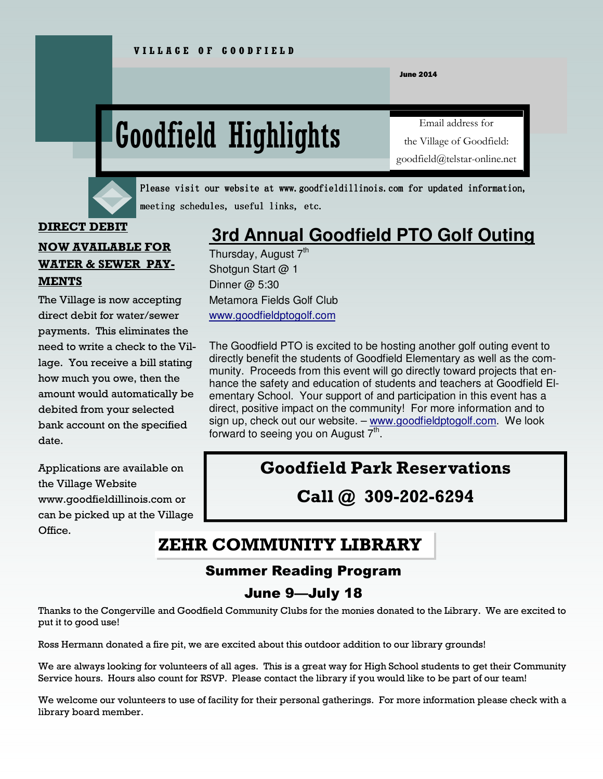June 2014

# Goodfield Highlights

Email address for the Village of Goodfield: goodfield@telstar-online.net



Please visit our website at www.goodfieldillinois.com for updated information, meeting schedules, useful links, etc.

#### **DIRECT DEBIT**

# **NOW AVAILABLE FOR WATER & SEWER PAY-MENTS**

The Village is now accepting direct debit for water/sewer payments. This eliminates the need to write a check to the Village. You receive a bill stating how much you owe, then the amount would automatically be debited from your selected bank account on the specified date.

Applications are available on the Village Website www.goodfieldillinois.com or can be picked up at the Village Office.

# **3rd Annual Goodfield PTO Golf Outing**

Thursday, August  $7<sup>th</sup>$ Shotgun Start @ 1 Dinner @ 5:30 Metamora Fields Golf Club www.goodfieldptogolf.com

The Goodfield PTO is excited to be hosting another golf outing event to directly benefit the students of Goodfield Elementary as well as the community. Proceeds from this event will go directly toward projects that enhance the safety and education of students and teachers at Goodfield Elementary School. Your support of and participation in this event has a direct, positive impact on the community! For more information and to sign up, check out our website. - www.goodfieldptogolf.com. We look forward to seeing you on August  $7<sup>th</sup>$ .

# **Goodfield Park Reservations**

**Call @ 309-202-6294** 

# **ZEHR COMMUNITY LIBRARY**

# Summer Reading Program

# June 9—July 18

Thanks to the Congerville and Goodfield Community Clubs for the monies donated to the Library. We are excited to put it to good use!

Ross Hermann donated a fire pit, we are excited about this outdoor addition to our library grounds!

We are always looking for volunteers of all ages. This is a great way for High School students to get their Community Service hours. Hours also count for RSVP. Please contact the library if you would like to be part of our team!

We welcome our volunteers to use of facility for their personal gatherings. For more information please check with a library board member.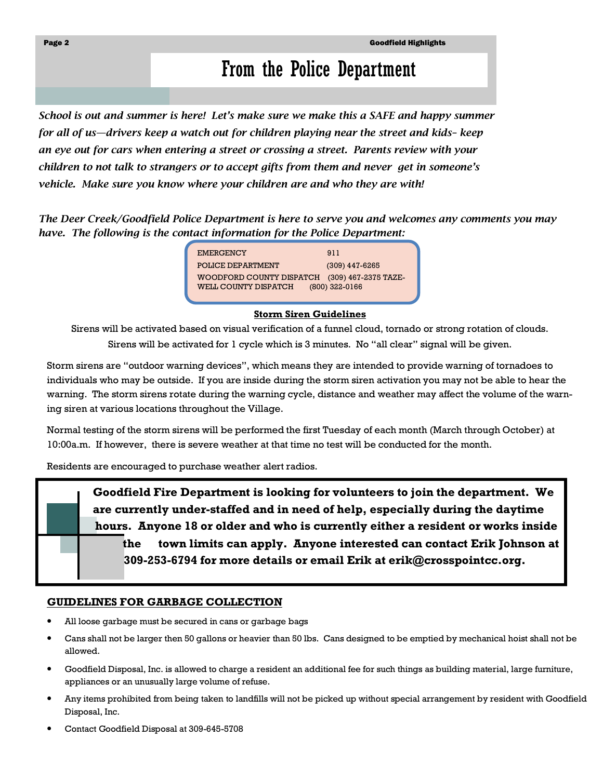# From the Police Department

*School is out and summer is here! Let's make sure we make this a SAFE and happy summer for all of us—drivers keep a watch out for children playing near the street and kids– keep an eye out for cars when entering a street or crossing a street. Parents review with your children to not talk to strangers or to accept gifts from them and never get in someone's vehicle. Make sure you know where your children are and who they are with!* 

*The Deer Creek/Goodfield Police Department is here to serve you and welcomes any comments you may have. The following is the contact information for the Police Department:* 

> EMERGENCY 911 POLICE DEPARTMENT (309) 447-6265 WOODFORD COUNTY DISPATCH (309) 467-2375 TAZE-WELL COUNTY DISPATCH (800) 322-0166

#### **Storm Siren Guidelines**

Sirens will be activated based on visual verification of a funnel cloud, tornado or strong rotation of clouds. Sirens will be activated for 1 cycle which is 3 minutes. No "all clear" signal will be given.

Storm sirens are "outdoor warning devices", which means they are intended to provide warning of tornadoes to individuals who may be outside. If you are inside during the storm siren activation you may not be able to hear the warning. The storm sirens rotate during the warning cycle, distance and weather may affect the volume of the warning siren at various locations throughout the Village.

Normal testing of the storm sirens will be performed the first Tuesday of each month (March through October) at 10:00a.m. If however, there is severe weather at that time no test will be conducted for the month.

Residents are encouraged to purchase weather alert radios.

 **Goodfield Fire Department is looking for volunteers to join the department. We are currently under-staffed and in need of help, especially during the daytime hours. Anyone 18 or older and who is currently either a resident or works inside the town limits can apply. Anyone interested can contact Erik Johnson at 309-253-6794 for more details or email Erik at erik@crosspointcc.org.** 

#### **GUIDELINES FOR GARBAGE COLLECTION**

- All loose garbage must be secured in cans or garbage bags
- Cans shall not be larger then 50 gallons or heavier than 50 lbs. Cans designed to be emptied by mechanical hoist shall not be allowed.
- Goodfield Disposal, Inc. is allowed to charge a resident an additional fee for such things as building material, large furniture, appliances or an unusually large volume of refuse.
- Any items prohibited from being taken to landfills will not be picked up without special arrangement by resident with Goodfield Disposal, Inc.
- Contact Goodfield Disposal at 309-645-5708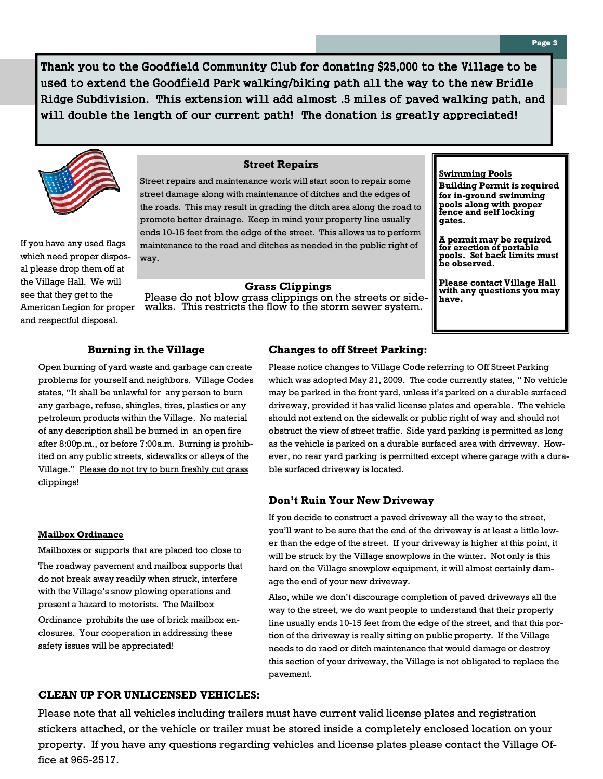Thank you to the Goodfield Community Club for donating \$25,000 to the Village to be used to extend the Goodfield Park walking/biking path all the way to the new Bridle Ridge Subdivision. This extension will add almost .5 miles of paved walking path, and will double the length of our current path! The donation is greatly appreciated!



If you have any used flags which need proper disposal please drop them off at the Village Hall. We will see that they get to the American Legion for proper and respectful disposal.

#### **Street Repairs**

Street repairs and maintenance work will start soon to repair some street damage along with maintenance of ditches and the edges of the roads. This may result in grading the ditch area along the road to promote better drainage. Keep in mind your property line usually ends 10-15 feet from the edge of the street. This allows us to perform maintenance to the road and ditches as needed in the public right of way.

#### **Grass Clippings**

Please do not blow grass clippings on the streets or sidewalks. This restricts the flow to the storm sewer system.

#### **Swimming Pools**

**Building Permit is required for in-ground swimming pools along with proper fence and self locking gates.** 

**A permit may be required for erection of portable pools. Set back limits must be observed.** 

**Please contact Village Hall with any questions you may have.** 

#### **Burning in the Village**

Open burning of yard waste and garbage can create problems for yourself and neighbors. Village Codes states, "It shall be unlawful for any person to burn any garbage, refuse, shingles, tires, plastics or any petroleum products within the Village. No material of any description shall be burned in an open fire after 8:00p.m., or before 7:00a.m. Burning is prohibited on any public streets, sidewalks or alleys of the Village." Please do not try to burn freshly cut grass clippings!

#### **Mailbox Ordinance**

Mailboxes or supports that are placed too close to

The roadway pavement and mailbox supports that do not break away readily when struck, interfere with the Village's snow plowing operations and present a hazard to motorists. The Mailbox

Ordinance prohibits the use of brick mailbox enclosures. Your cooperation in addressing these safety issues will be appreciated!

#### **Changes to off Street Parking:**

Please notice changes to Village Code referring to Off Street Parking which was adopted May 21, 2009. The code currently states, " No vehicle may be parked in the front yard, unless it's parked on a durable surfaced driveway, provided it has valid license plates and operable. The vehicle should not extend on the sidewalk or public right of way and should not obstruct the view of street traffic. Side yard parking is permitted as long as the vehicle is parked on a durable surfaced area with driveway. However, no rear yard parking is permitted except where garage with a durable surfaced driveway is located.

#### **Don't Ruin Your New Driveway**

If you decide to construct a paved driveway all the way to the street, you'll want to be sure that the end of the driveway is at least a little lower than the edge of the street. If your driveway is higher at this point, it will be struck by the Village snowplows in the winter. Not only is this hard on the Village snowplow equipment, it will almost certainly damage the end of your new driveway.

Also, while we don't discourage completion of paved driveways all the way to the street, we do want people to understand that their property line usually ends 10-15 feet from the edge of the street, and that this portion of the driveway is really sitting on public property. If the Village needs to do raod or ditch maintenance that would damage or destroy this section of your driveway, the Village is not obligated to replace the pavement.

#### **CLEAN UP FOR UNLICENSED VEHICLES:**

Please note that all vehicles including trailers must have current valid license plates and registration stickers attached, or the vehicle or trailer must be stored inside a completely enclosed location on your property. If you have any questions regarding vehicles and license plates please contact the Village Office at 965-2517.